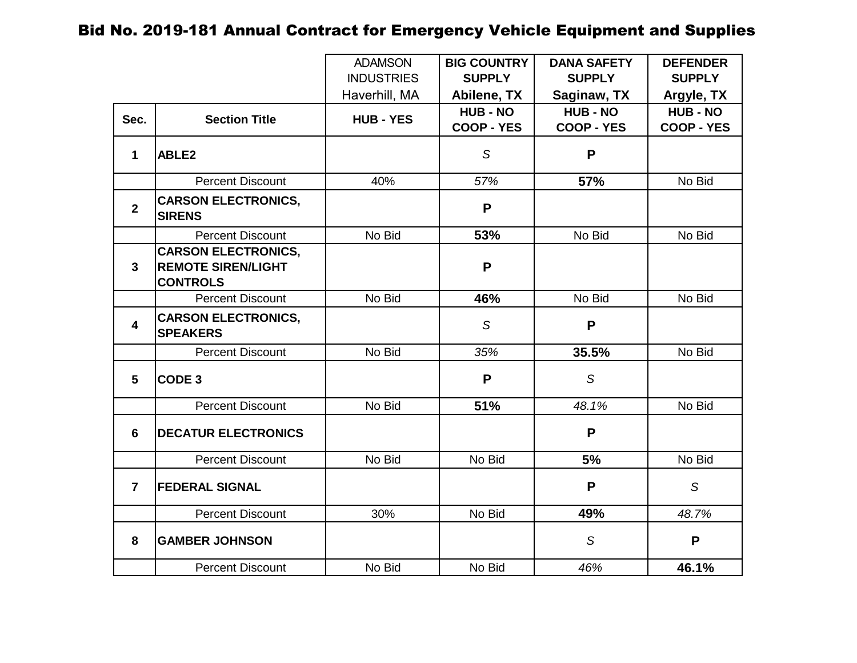|                         |                                                                            | <b>ADAMSON</b>    | <b>BIG COUNTRY</b>                   | <b>DANA SAFETY</b>                   | <b>DEFENDER</b>                      |
|-------------------------|----------------------------------------------------------------------------|-------------------|--------------------------------------|--------------------------------------|--------------------------------------|
|                         |                                                                            | <b>INDUSTRIES</b> | <b>SUPPLY</b>                        | <b>SUPPLY</b>                        | <b>SUPPLY</b>                        |
|                         |                                                                            | Haverhill, MA     | Abilene, TX                          | Saginaw, TX                          | Argyle, TX                           |
| Sec.                    | <b>Section Title</b>                                                       | <b>HUB - YES</b>  | <b>HUB - NO</b><br><b>COOP - YES</b> | <b>HUB - NO</b><br><b>COOP - YES</b> | <b>HUB - NO</b><br><b>COOP - YES</b> |
| $\mathbf 1$             | ABLE2                                                                      |                   | S                                    | P                                    |                                      |
|                         | <b>Percent Discount</b>                                                    | 40%               | 57%                                  | 57%                                  | No Bid                               |
| $\overline{\mathbf{2}}$ | <b>CARSON ELECTRONICS,</b><br><b>SIRENS</b>                                |                   | P                                    |                                      |                                      |
|                         | <b>Percent Discount</b>                                                    | No Bid            | 53%                                  | No Bid                               | No Bid                               |
| $\mathbf{3}$            | <b>CARSON ELECTRONICS,</b><br><b>REMOTE SIREN/LIGHT</b><br><b>CONTROLS</b> |                   | P                                    |                                      |                                      |
|                         | <b>Percent Discount</b>                                                    | No Bid            | 46%                                  | No Bid                               | No Bid                               |
| $\overline{\mathbf{4}}$ | <b>CARSON ELECTRONICS,</b><br><b>SPEAKERS</b>                              |                   | S                                    | P                                    |                                      |
|                         | <b>Percent Discount</b>                                                    | No Bid            | 35%                                  | 35.5%                                | No Bid                               |
| $5\phantom{.0}$         | CODE <sub>3</sub>                                                          |                   | P                                    | S                                    |                                      |
|                         | <b>Percent Discount</b>                                                    | No Bid            | 51%                                  | 48.1%                                | No Bid                               |
| $6\phantom{1}6$         | <b>DECATUR ELECTRONICS</b>                                                 |                   |                                      | P                                    |                                      |
|                         | <b>Percent Discount</b>                                                    | No Bid            | No Bid                               | 5%                                   | No Bid                               |
| $\overline{7}$          | <b>FEDERAL SIGNAL</b>                                                      |                   |                                      | P                                    | $\mathcal{S}$                        |
|                         | <b>Percent Discount</b>                                                    | 30%               | No Bid                               | 49%                                  | 48.7%                                |
| 8                       | <b>GAMBER JOHNSON</b>                                                      |                   |                                      | S                                    | P                                    |
|                         | <b>Percent Discount</b>                                                    | No Bid            | No Bid                               | 46%                                  | 46.1%                                |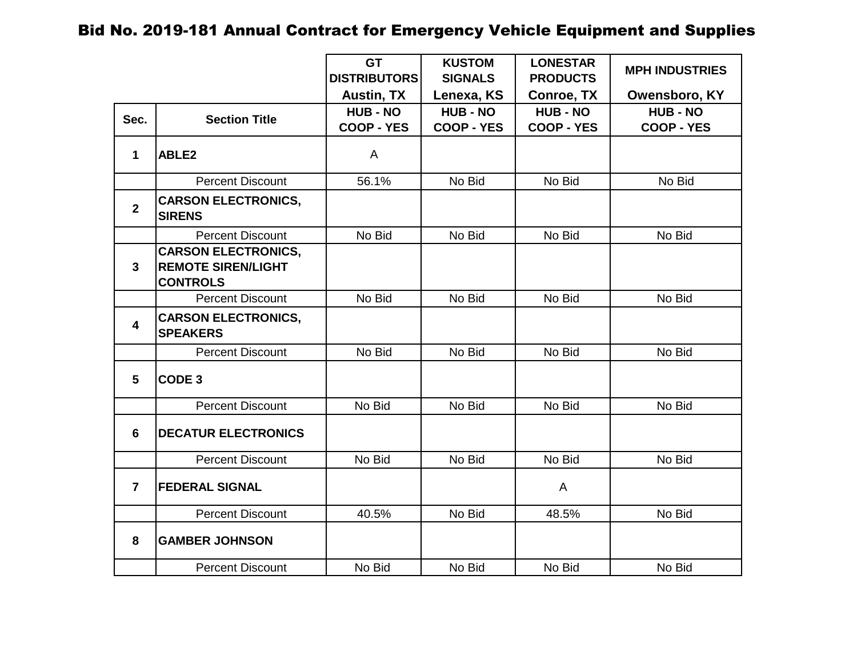|                         |                                                                            | <b>GT</b><br><b>DISTRIBUTORS</b>     | <b>KUSTOM</b><br><b>SIGNALS</b>      | <b>LONESTAR</b><br><b>PRODUCTS</b>   | <b>MPH INDUSTRIES</b>                |
|-------------------------|----------------------------------------------------------------------------|--------------------------------------|--------------------------------------|--------------------------------------|--------------------------------------|
|                         |                                                                            | <b>Austin, TX</b>                    | Lenexa, KS                           | <b>Conroe, TX</b>                    | Owensboro, KY                        |
| Sec.                    | <b>Section Title</b>                                                       | <b>HUB - NO</b><br><b>COOP - YES</b> | <b>HUB - NO</b><br><b>COOP - YES</b> | <b>HUB - NO</b><br><b>COOP - YES</b> | <b>HUB - NO</b><br><b>COOP - YES</b> |
| 1                       | ABLE <sub>2</sub>                                                          | A                                    |                                      |                                      |                                      |
|                         | <b>Percent Discount</b>                                                    | 56.1%                                | No Bid                               | No Bid                               | No Bid                               |
| $\overline{2}$          | <b>CARSON ELECTRONICS,</b><br><b>SIRENS</b>                                |                                      |                                      |                                      |                                      |
|                         | <b>Percent Discount</b>                                                    | No Bid                               | No Bid                               | No Bid                               | No Bid                               |
| $\mathbf{3}$            | <b>CARSON ELECTRONICS,</b><br><b>REMOTE SIREN/LIGHT</b><br><b>CONTROLS</b> |                                      |                                      |                                      |                                      |
|                         | <b>Percent Discount</b>                                                    | No Bid                               | No Bid                               | No Bid                               | No Bid                               |
| $\overline{\mathbf{4}}$ | <b>CARSON ELECTRONICS,</b><br><b>SPEAKERS</b>                              |                                      |                                      |                                      |                                      |
|                         | <b>Percent Discount</b>                                                    | No Bid                               | No Bid                               | No Bid                               | No Bid                               |
| 5                       | CODE <sub>3</sub>                                                          |                                      |                                      |                                      |                                      |
|                         | <b>Percent Discount</b>                                                    | No Bid                               | No Bid                               | No Bid                               | No Bid                               |
| 6                       | <b>DECATUR ELECTRONICS</b>                                                 |                                      |                                      |                                      |                                      |
|                         | <b>Percent Discount</b>                                                    | No Bid                               | No Bid                               | No Bid                               | No Bid                               |
| $\overline{7}$          | <b>FEDERAL SIGNAL</b>                                                      |                                      |                                      | A                                    |                                      |
|                         | <b>Percent Discount</b>                                                    | 40.5%                                | No Bid                               | 48.5%                                | No Bid                               |
| 8                       | <b>GAMBER JOHNSON</b>                                                      |                                      |                                      |                                      |                                      |
|                         | <b>Percent Discount</b>                                                    | No Bid                               | No Bid                               | No Bid                               | No Bid                               |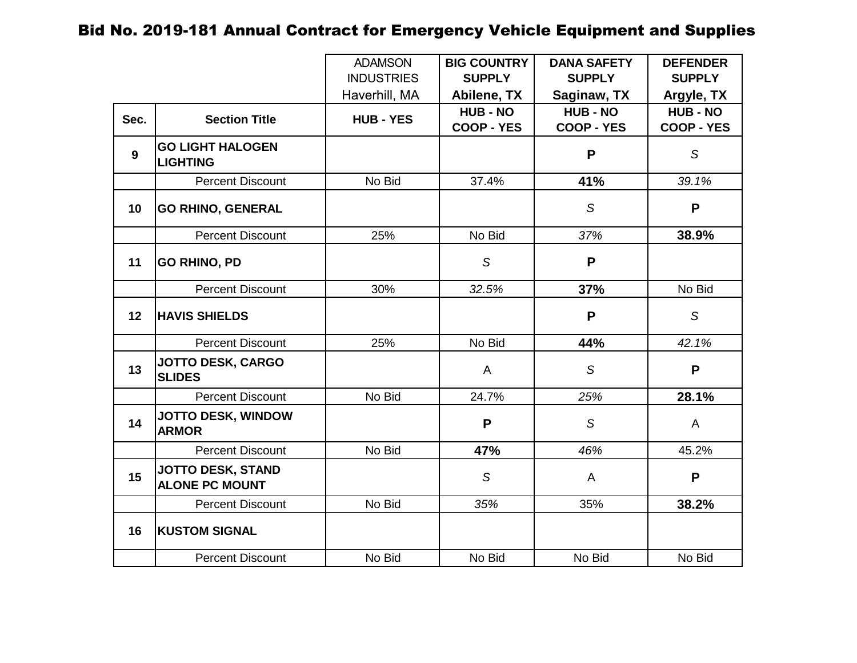|                  |                                                   | <b>ADAMSON</b>    | <b>BIG COUNTRY</b> | <b>DANA SAFETY</b> | <b>DEFENDER</b>   |
|------------------|---------------------------------------------------|-------------------|--------------------|--------------------|-------------------|
|                  |                                                   | <b>INDUSTRIES</b> | <b>SUPPLY</b>      | <b>SUPPLY</b>      | <b>SUPPLY</b>     |
|                  |                                                   | Haverhill, MA     | Abilene, TX        | Saginaw, TX        | Argyle, TX        |
| Sec.             | <b>Section Title</b>                              | <b>HUB - YES</b>  | <b>HUB - NO</b>    | <b>HUB - NO</b>    | <b>HUB - NO</b>   |
|                  |                                                   |                   | <b>COOP - YES</b>  | <b>COOP - YES</b>  | <b>COOP - YES</b> |
| $\boldsymbol{9}$ | <b>GO LIGHT HALOGEN</b><br><b>LIGHTING</b>        |                   |                    | P                  | $\mathcal{S}$     |
|                  | <b>Percent Discount</b>                           | No Bid            | 37.4%              | 41%                | 39.1%             |
| 10               | <b>GO RHINO, GENERAL</b>                          |                   |                    | S                  | P                 |
|                  | <b>Percent Discount</b>                           | 25%               | No Bid             | 37%                | 38.9%             |
| 11               | <b>GO RHINO, PD</b>                               |                   | S                  | P                  |                   |
|                  | <b>Percent Discount</b>                           | 30%               | 32.5%              | 37%                | No Bid            |
| 12               | <b>HAVIS SHIELDS</b>                              |                   |                    | P                  | S                 |
|                  | <b>Percent Discount</b>                           | 25%               | No Bid             | 44%                | 42.1%             |
| 13               | <b>JOTTO DESK, CARGO</b><br><b>SLIDES</b>         |                   | A                  | S                  | P                 |
|                  | <b>Percent Discount</b>                           | No Bid            | 24.7%              | 25%                | 28.1%             |
| 14               | JOTTO DESK, WINDOW<br><b>ARMOR</b>                |                   | P                  | S                  | A                 |
|                  | <b>Percent Discount</b>                           | No Bid            | 47%                | 46%                | 45.2%             |
| 15               | <b>JOTTO DESK, STAND</b><br><b>ALONE PC MOUNT</b> |                   | S                  | A                  | P                 |
|                  | <b>Percent Discount</b>                           | No Bid            | 35%                | 35%                | 38.2%             |
| 16               | <b>KUSTOM SIGNAL</b>                              |                   |                    |                    |                   |
|                  | <b>Percent Discount</b>                           | No Bid            | No Bid             | No Bid             | No Bid            |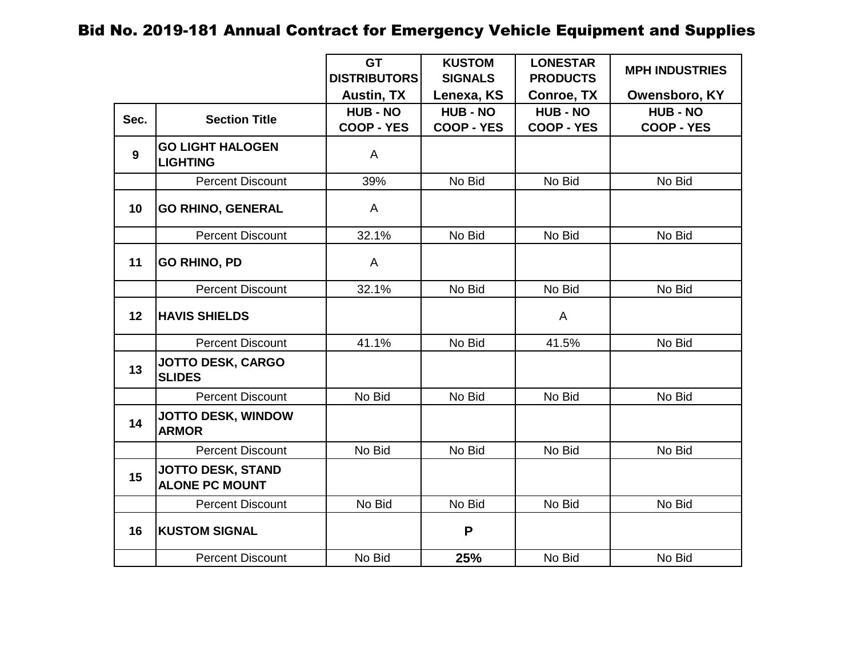|                |                                                   | <b>GT</b><br><b>DISTRIBUTORS</b>     | <b>KUSTOM</b><br><b>SIGNALS</b>      | <b>LONESTAR</b><br><b>PRODUCTS</b>   | <b>MPH INDUSTRIES</b>                |
|----------------|---------------------------------------------------|--------------------------------------|--------------------------------------|--------------------------------------|--------------------------------------|
|                |                                                   | <b>Austin, TX</b>                    | Lenexa, KS                           | <b>Conroe, TX</b>                    | Owensboro, KY                        |
| Sec.           | <b>Section Title</b>                              | <b>HUB - NO</b><br><b>COOP - YES</b> | <b>HUB - NO</b><br><b>COOP - YES</b> | <b>HUB - NO</b><br><b>COOP - YES</b> | <b>HUB - NO</b><br><b>COOP - YES</b> |
| $\overline{9}$ | <b>GO LIGHT HALOGEN</b><br><b>LIGHTING</b>        | A                                    |                                      |                                      |                                      |
|                | <b>Percent Discount</b>                           | 39%                                  | No Bid                               | No Bid                               | No Bid                               |
| 10             | <b>GO RHINO, GENERAL</b>                          | A                                    |                                      |                                      |                                      |
|                | <b>Percent Discount</b>                           | 32.1%                                | No Bid                               | No Bid                               | No Bid                               |
| 11             | <b>GO RHINO, PD</b>                               | A                                    |                                      |                                      |                                      |
|                | <b>Percent Discount</b>                           | 32.1%                                | No Bid                               | No Bid                               | No Bid                               |
| 12             | <b>HAVIS SHIELDS</b>                              |                                      |                                      | A                                    |                                      |
|                | <b>Percent Discount</b>                           | 41.1%                                | No Bid                               | 41.5%                                | No Bid                               |
| 13             | JOTTO DESK, CARGO<br><b>SLIDES</b>                |                                      |                                      |                                      |                                      |
|                | <b>Percent Discount</b>                           | No Bid                               | No Bid                               | No Bid                               | No Bid                               |
| 14             | JOTTO DESK, WINDOW<br><b>ARMOR</b>                |                                      |                                      |                                      |                                      |
|                | <b>Percent Discount</b>                           | No Bid                               | No Bid                               | No Bid                               | No Bid                               |
| 15             | <b>JOTTO DESK, STAND</b><br><b>ALONE PC MOUNT</b> |                                      |                                      |                                      |                                      |
|                | <b>Percent Discount</b>                           | No Bid                               | No Bid                               | No Bid                               | No Bid                               |
| 16             | <b>KUSTOM SIGNAL</b>                              |                                      | P                                    |                                      |                                      |
|                | <b>Percent Discount</b>                           | No Bid                               | 25%                                  | No Bid                               | No Bid                               |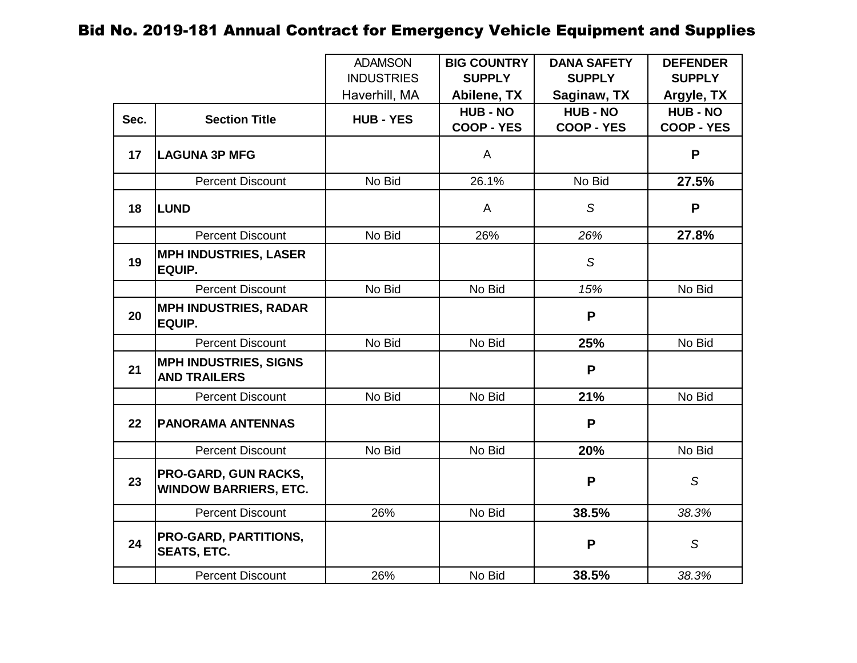|      |                                                             | <b>ADAMSON</b>    | <b>BIG COUNTRY</b>                   | <b>DANA SAFETY</b>                   | <b>DEFENDER</b>                      |
|------|-------------------------------------------------------------|-------------------|--------------------------------------|--------------------------------------|--------------------------------------|
|      |                                                             | <b>INDUSTRIES</b> | <b>SUPPLY</b>                        | <b>SUPPLY</b>                        | <b>SUPPLY</b>                        |
|      |                                                             | Haverhill, MA     | Abilene, TX                          | Saginaw, TX                          | Argyle, TX                           |
| Sec. | <b>Section Title</b>                                        | <b>HUB - YES</b>  | <b>HUB - NO</b><br><b>COOP - YES</b> | <b>HUB - NO</b><br><b>COOP - YES</b> | <b>HUB - NO</b><br><b>COOP - YES</b> |
| 17   | <b>LAGUNA 3P MFG</b>                                        |                   | A                                    |                                      | P                                    |
|      | <b>Percent Discount</b>                                     | No Bid            | 26.1%                                | No Bid                               | 27.5%                                |
| 18   | <b>LUND</b>                                                 |                   | A                                    | S                                    | P                                    |
|      | <b>Percent Discount</b>                                     | No Bid            | 26%                                  | 26%                                  | 27.8%                                |
| 19   | <b>MPH INDUSTRIES, LASER</b><br>EQUIP.                      |                   |                                      | S                                    |                                      |
|      | <b>Percent Discount</b>                                     | No Bid            | No Bid                               | 15%                                  | No Bid                               |
| 20   | <b>MPH INDUSTRIES, RADAR</b><br><b>EQUIP.</b>               |                   |                                      | P                                    |                                      |
|      | <b>Percent Discount</b>                                     | No Bid            | No Bid                               | 25%                                  | No Bid                               |
| 21   | <b>MPH INDUSTRIES, SIGNS</b><br><b>AND TRAILERS</b>         |                   |                                      | P                                    |                                      |
|      | <b>Percent Discount</b>                                     | No Bid            | No Bid                               | 21%                                  | No Bid                               |
| 22   | <b>PANORAMA ANTENNAS</b>                                    |                   |                                      | P                                    |                                      |
|      | <b>Percent Discount</b>                                     | No Bid            | No Bid                               | 20%                                  | No Bid                               |
| 23   | <b>PRO-GARD, GUN RACKS,</b><br><b>WINDOW BARRIERS, ETC.</b> |                   |                                      | $\mathsf{P}$                         | S                                    |
|      | <b>Percent Discount</b>                                     | 26%               | No Bid                               | 38.5%                                | 38.3%                                |
| 24   | PRO-GARD, PARTITIONS,<br><b>SEATS, ETC.</b>                 |                   |                                      | P                                    | S                                    |
|      | <b>Percent Discount</b>                                     | 26%               | No Bid                               | 38.5%                                | 38.3%                                |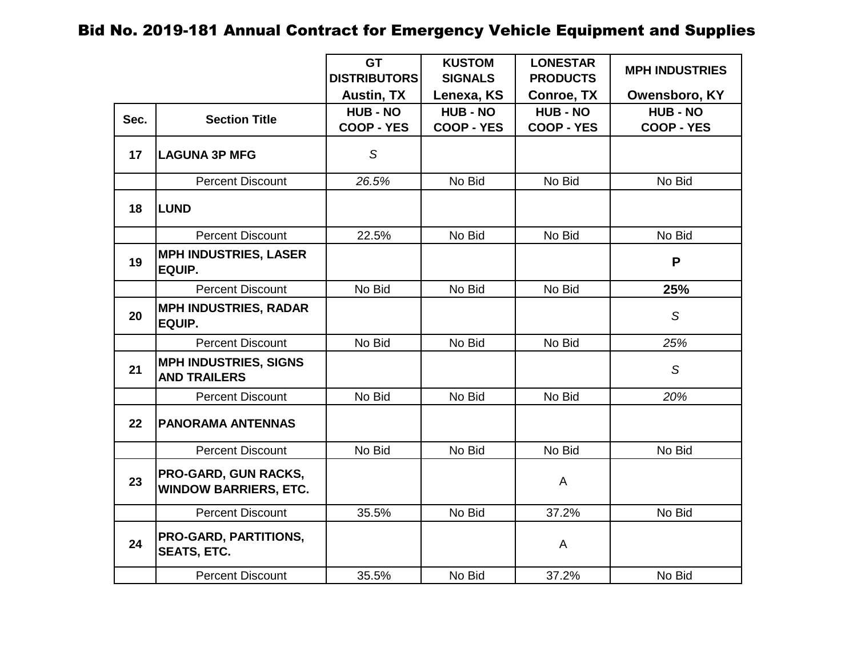|      |                                                      | <b>GT</b><br><b>DISTRIBUTORS</b>     | <b>KUSTOM</b><br><b>SIGNALS</b>      | <b>LONESTAR</b><br><b>PRODUCTS</b>   | <b>MPH INDUSTRIES</b>                |
|------|------------------------------------------------------|--------------------------------------|--------------------------------------|--------------------------------------|--------------------------------------|
|      |                                                      | <b>Austin, TX</b>                    | Lenexa, KS                           | <b>Conroe, TX</b>                    | Owensboro, KY                        |
| Sec. | <b>Section Title</b>                                 | <b>HUB - NO</b><br><b>COOP - YES</b> | <b>HUB - NO</b><br><b>COOP - YES</b> | <b>HUB - NO</b><br><b>COOP - YES</b> | <b>HUB - NO</b><br><b>COOP - YES</b> |
| 17   | <b>LAGUNA 3P MFG</b>                                 | $\mathcal{S}$                        |                                      |                                      |                                      |
|      | <b>Percent Discount</b>                              | 26.5%                                | No Bid                               | No Bid                               | No Bid                               |
| 18   | <b>LUND</b>                                          |                                      |                                      |                                      |                                      |
|      | <b>Percent Discount</b>                              | 22.5%                                | No Bid                               | No Bid                               | No Bid                               |
| 19   | <b>MPH INDUSTRIES, LASER</b><br>EQUIP.               |                                      |                                      |                                      | P                                    |
|      | <b>Percent Discount</b>                              | No Bid                               | No Bid                               | No Bid                               | 25%                                  |
| 20   | <b>MPH INDUSTRIES, RADAR</b><br>EQUIP.               |                                      |                                      |                                      | S                                    |
|      | <b>Percent Discount</b>                              | No Bid                               | No Bid                               | No Bid                               | 25%                                  |
| 21   | <b>MPH INDUSTRIES, SIGNS</b><br><b>AND TRAILERS</b>  |                                      |                                      |                                      | S                                    |
|      | <b>Percent Discount</b>                              | No Bid                               | No Bid                               | No Bid                               | 20%                                  |
| 22   | <b>PANORAMA ANTENNAS</b>                             |                                      |                                      |                                      |                                      |
|      | <b>Percent Discount</b>                              | No Bid                               | No Bid                               | No Bid                               | No Bid                               |
| 23   | PRO-GARD, GUN RACKS,<br><b>WINDOW BARRIERS, ETC.</b> |                                      |                                      | A                                    |                                      |
|      | <b>Percent Discount</b>                              | 35.5%                                | No Bid                               | 37.2%                                | No Bid                               |
| 24   | <b>PRO-GARD, PARTITIONS,</b><br><b>SEATS, ETC.</b>   |                                      |                                      | A                                    |                                      |
|      | <b>Percent Discount</b>                              | 35.5%                                | No Bid                               | 37.2%                                | No Bid                               |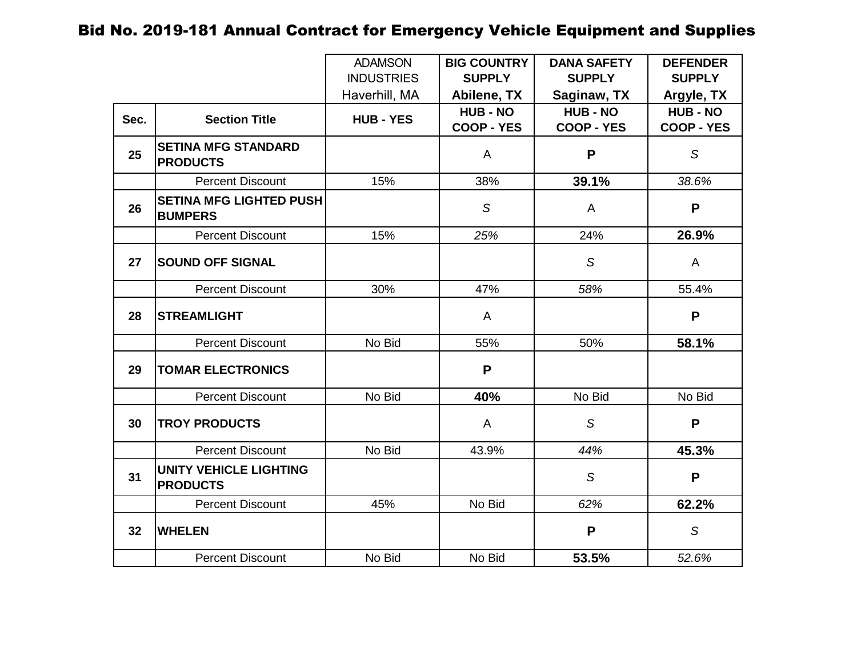|                 |                                                  | <b>ADAMSON</b>    | <b>BIG COUNTRY</b> | <b>DANA SAFETY</b> | <b>DEFENDER</b>   |
|-----------------|--------------------------------------------------|-------------------|--------------------|--------------------|-------------------|
|                 |                                                  | <b>INDUSTRIES</b> | <b>SUPPLY</b>      | <b>SUPPLY</b>      | <b>SUPPLY</b>     |
|                 |                                                  | Haverhill, MA     | Abilene, TX        | Saginaw, TX        | Argyle, TX        |
| Sec.            | <b>Section Title</b>                             | <b>HUB - YES</b>  | <b>HUB - NO</b>    | <b>HUB - NO</b>    | <b>HUB - NO</b>   |
|                 |                                                  |                   | <b>COOP - YES</b>  | <b>COOP - YES</b>  | <b>COOP - YES</b> |
| 25              | <b>SETINA MFG STANDARD</b><br><b>PRODUCTS</b>    |                   | A                  | P                  | S                 |
|                 | <b>Percent Discount</b>                          | 15%               | 38%                | 39.1%              | 38.6%             |
| 26              | <b>SETINA MFG LIGHTED PUSH</b><br><b>BUMPERS</b> |                   | S                  | A                  | P                 |
|                 | <b>Percent Discount</b>                          | 15%               | 25%                | 24%                | 26.9%             |
| 27              | <b>SOUND OFF SIGNAL</b>                          |                   |                    | S                  | A                 |
|                 | <b>Percent Discount</b>                          | 30%               | 47%                | 58%                | 55.4%             |
| 28              | <b>STREAMLIGHT</b>                               |                   | A                  |                    | P                 |
|                 | <b>Percent Discount</b>                          | No Bid            | 55%                | 50%                | 58.1%             |
| 29              | <b>TOMAR ELECTRONICS</b>                         |                   | P                  |                    |                   |
|                 | <b>Percent Discount</b>                          | No Bid            | 40%                | No Bid             | No Bid            |
| 30              | <b>TROY PRODUCTS</b>                             |                   | A                  | $\mathcal{S}$      | P                 |
|                 | <b>Percent Discount</b>                          | No Bid            | 43.9%              | 44%                | 45.3%             |
| 31              | <b>UNITY VEHICLE LIGHTING</b><br><b>PRODUCTS</b> |                   |                    | S                  | P                 |
|                 | <b>Percent Discount</b>                          | 45%               | No Bid             | 62%                | 62.2%             |
| 32 <sub>2</sub> | <b>WHELEN</b>                                    |                   |                    | $\mathsf{P}$       | $\mathcal{S}$     |
|                 | <b>Percent Discount</b>                          | No Bid            | No Bid             | 53.5%              | 52.6%             |